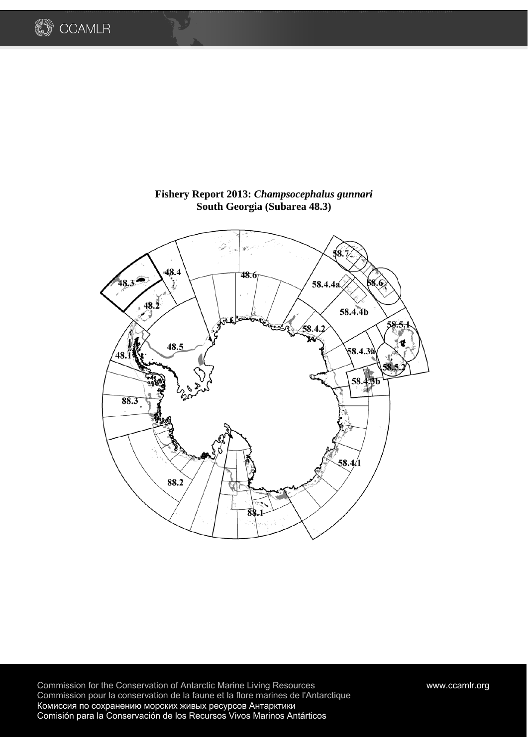



# **Fishery Report 2013:** *Champsocephalus gunnari*  **South Georgia (Subarea 48.3)**

Commission for the Conservation of Antarctic Marine Living Resources www.ccamlr.org Commission pour la conservation de la faune et la flore marines de l'Antarctique Комиссия по сохранению морских живых ресурсов Антарктики Comisión para la Conservación de los Recursos Vivos Marinos Antárticos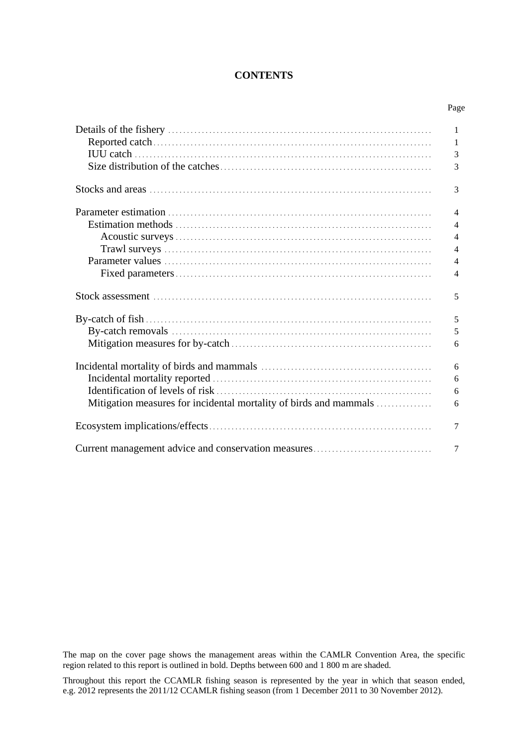## **CONTENTS**

|                                                                   | 1              |
|-------------------------------------------------------------------|----------------|
|                                                                   | 1              |
|                                                                   | 3              |
|                                                                   | 3              |
|                                                                   | 3              |
|                                                                   | $\overline{4}$ |
|                                                                   | $\overline{4}$ |
|                                                                   | $\overline{4}$ |
|                                                                   | $\overline{4}$ |
|                                                                   | $\overline{4}$ |
|                                                                   | $\overline{4}$ |
|                                                                   | 5              |
|                                                                   | 5              |
|                                                                   | 5              |
|                                                                   | 6              |
|                                                                   | 6              |
|                                                                   | 6              |
|                                                                   | 6              |
| Mitigation measures for incidental mortality of birds and mammals | 6              |
|                                                                   | 7              |
| Current management advice and conservation measures               | 7              |

The map on the cover page shows the management areas within the CAMLR Convention Area, the specific region related to this report is outlined in bold. Depths between 600 and 1 800 m are shaded.

Throughout this report the CCAMLR fishing season is represented by the year in which that season ended, e.g. 2012 represents the 2011/12 CCAMLR fishing season (from 1 December 2011 to 30 November 2012).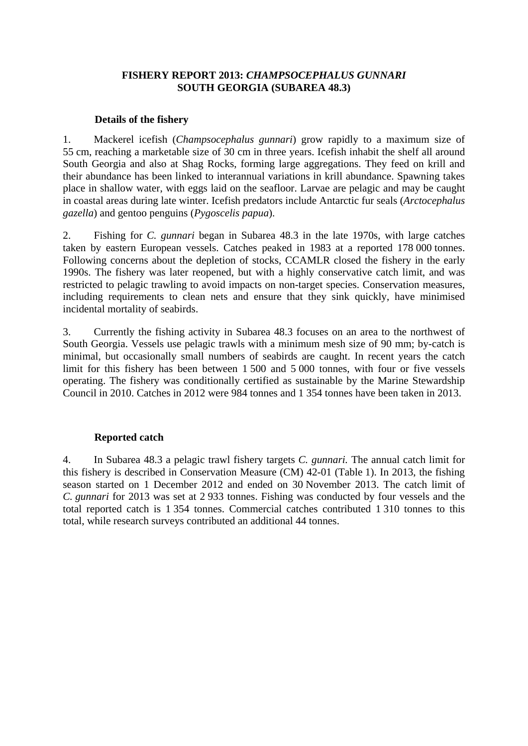## **FISHERY REPORT 2013:** *CHAMPSOCEPHALUS GUNNARI* **SOUTH GEORGIA (SUBAREA 48.3)**

## **Details of the fishery**

1. Mackerel icefish (*Champsocephalus gunnari*) grow rapidly to a maximum size of 55 cm, reaching a marketable size of 30 cm in three years. Icefish inhabit the shelf all around South Georgia and also at Shag Rocks, forming large aggregations. They feed on krill and their abundance has been linked to interannual variations in krill abundance. Spawning takes place in shallow water, with eggs laid on the seafloor. Larvae are pelagic and may be caught in coastal areas during late winter. Icefish predators include Antarctic fur seals (*Arctocephalus gazella*) and gentoo penguins (*Pygoscelis papua*).

2. Fishing for *C. gunnari* began in Subarea 48.3 in the late 1970s, with large catches taken by eastern European vessels. Catches peaked in 1983 at a reported 178 000 tonnes. Following concerns about the depletion of stocks, CCAMLR closed the fishery in the early 1990s. The fishery was later reopened, but with a highly conservative catch limit, and was restricted to pelagic trawling to avoid impacts on non-target species. Conservation measures, including requirements to clean nets and ensure that they sink quickly, have minimised incidental mortality of seabirds.

3. Currently the fishing activity in Subarea 48.3 focuses on an area to the northwest of South Georgia. Vessels use pelagic trawls with a minimum mesh size of 90 mm; by-catch is minimal, but occasionally small numbers of seabirds are caught. In recent years the catch limit for this fishery has been between 1 500 and 5 000 tonnes, with four or five vessels operating. The fishery was conditionally certified as sustainable by the Marine Stewardship Council in 2010. Catches in 2012 were 984 tonnes and 1 354 tonnes have been taken in 2013.

## **Reported catch**

4. In Subarea 48.3 a pelagic trawl fishery targets *C. gunnari.* The annual catch limit for this fishery is described in Conservation Measure (CM) 42-01 (Table 1). In 2013, the fishing season started on 1 December 2012 and ended on 30 November 2013. The catch limit of *C. gunnari* for 2013 was set at 2 933 tonnes. Fishing was conducted by four vessels and the total reported catch is 1 354 tonnes. Commercial catches contributed 1 310 tonnes to this total, while research surveys contributed an additional 44 tonnes.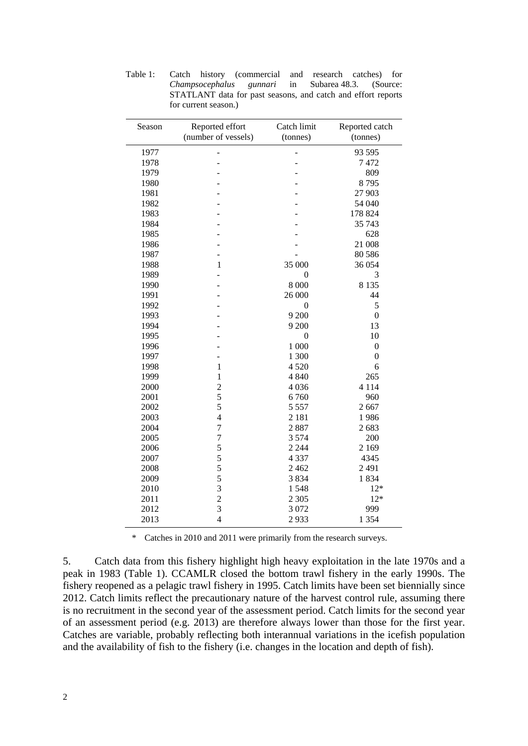| Season | Reported effort<br>(number of vessels) | Catch limit<br>(tonnes) | Reported catch<br>(tonnes) |  |
|--------|----------------------------------------|-------------------------|----------------------------|--|
| 1977   |                                        |                         | 93 595                     |  |
| 1978   |                                        |                         | 7472                       |  |
| 1979   |                                        |                         | 809                        |  |
| 1980   |                                        |                         | 8795                       |  |
| 1981   |                                        |                         | 27 903                     |  |
| 1982   |                                        |                         | 54 040                     |  |
| 1983   |                                        |                         | 178 824                    |  |
| 1984   |                                        |                         | 35 743                     |  |
| 1985   |                                        |                         | 628                        |  |
| 1986   |                                        |                         | 21 008                     |  |
| 1987   |                                        |                         | 80 5 86                    |  |
| 1988   | $\mathbf{1}$                           | 35 000                  | 36 054                     |  |
| 1989   |                                        | 0                       | 3                          |  |
| 1990   |                                        | 8 0 0 0                 | 8 1 3 5                    |  |
| 1991   |                                        | 26 000                  | 44                         |  |
| 1992   |                                        | $\mathbf{0}$            | 5                          |  |
| 1993   |                                        | 9 200                   | $\mathbf{0}$               |  |
| 1994   |                                        | 9 200                   | 13                         |  |
| 1995   |                                        | $\theta$                | 10                         |  |
| 1996   |                                        | 1 000                   | $\boldsymbol{0}$           |  |
| 1997   |                                        | 1 300                   | $\mathbf{0}$               |  |
| 1998   | $\mathbf{1}$                           | 4 5 20                  | 6                          |  |
| 1999   | $\mathbf{1}$                           | 4 8 4 0                 | 265                        |  |
| 2000   | $\overline{c}$                         | 4 0 36                  | 4 1 1 4                    |  |
| 2001   | 5                                      | 6760                    | 960                        |  |
| 2002   | 5                                      | 5 5 5 7                 | 2667                       |  |
| 2003   | $\overline{4}$                         | 2 1 8 1                 | 1986                       |  |
| 2004   | $\overline{7}$                         | 2887                    | 2683                       |  |
| 2005   | $\overline{7}$                         | 3 5 7 4                 | 200                        |  |
| 2006   | 5                                      | 2 2 4 4                 | 2 1 6 9                    |  |
| 2007   | 5                                      | 4 3 3 7                 | 4345                       |  |
| 2008   | 5                                      | 2 4 6 2                 | 2491                       |  |
| 2009   | 5                                      | 3834                    | 1834                       |  |
| 2010   | 3                                      | 1548                    | $12*$                      |  |
| 2011   | $\overline{c}$                         | 2 3 0 5                 | $12*$                      |  |
| 2012   | 3                                      | 3 0 7 2                 | 999                        |  |
| 2013   | $\overline{4}$                         | 2933                    | 1 3 5 4                    |  |

Table 1: Catch history (commercial and research catches) for *Champsocephalus gunnari* in Subarea 48.3. (Source: STATLANT data for past seasons, and catch and effort reports for current season.)

\* Catches in 2010 and 2011 were primarily from the research surveys.

5. Catch data from this fishery highlight high heavy exploitation in the late 1970s and a peak in 1983 (Table 1). CCAMLR closed the bottom trawl fishery in the early 1990s. The fishery reopened as a pelagic trawl fishery in 1995. Catch limits have been set biennially since 2012. Catch limits reflect the precautionary nature of the harvest control rule, assuming there is no recruitment in the second year of the assessment period. Catch limits for the second year of an assessment period (e.g. 2013) are therefore always lower than those for the first year. Catches are variable, probably reflecting both interannual variations in the icefish population and the availability of fish to the fishery (i.e. changes in the location and depth of fish).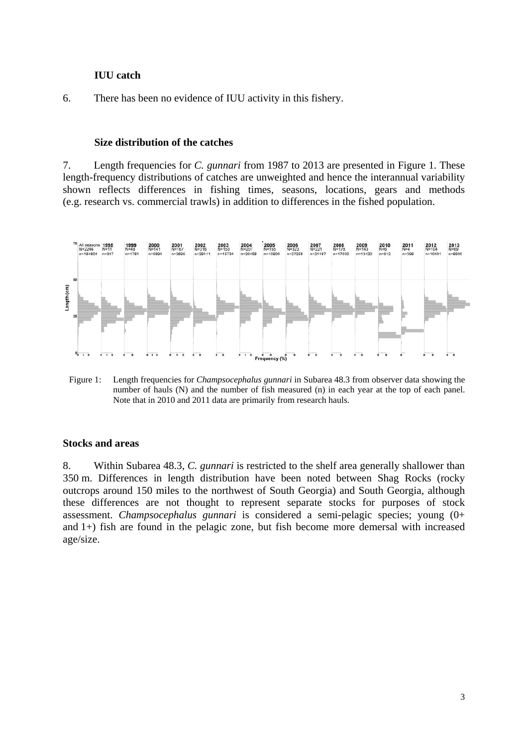## **IUU catch**

6. There has been no evidence of IUU activity in this fishery.

### **Size distribution of the catches**

7. Length frequencies for *C. gunnari* from 1987 to 2013 are presented in Figure 1. These length-frequency distributions of catches are unweighted and hence the interannual variability shown reflects differences in fishing times, seasons, locations, gears and methods (e.g. research vs. commercial trawls) in addition to differences in the fished population.



Figure 1: Length frequencies for *Champsocephalus gunnari* in Subarea 48.3 from observer data showing the number of hauls (N) and the number of fish measured (n) in each year at the top of each panel. Note that in 2010 and 2011 data are primarily from research hauls.

## **Stocks and areas**

8. Within Subarea 48.3, *C. gunnari* is restricted to the shelf area generally shallower than 350 m. Differences in length distribution have been noted between Shag Rocks (rocky outcrops around 150 miles to the northwest of South Georgia) and South Georgia, although these differences are not thought to represent separate stocks for purposes of stock assessment. *Champsocephalus gunnari* is considered a semi-pelagic species; young (0+ and 1+) fish are found in the pelagic zone, but fish become more demersal with increased age/size.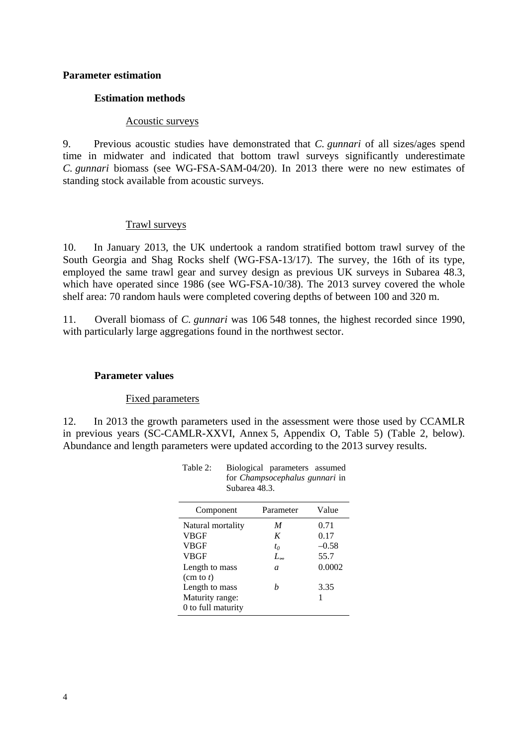## **Parameter estimation**

## **Estimation methods**

#### Acoustic surveys

9. Previous acoustic studies have demonstrated that *C. gunnari* of all sizes/ages spend time in midwater and indicated that bottom trawl surveys significantly underestimate *C. gunnari* biomass (see WG-FSA-SAM-04/20). In 2013 there were no new estimates of standing stock available from acoustic surveys.

#### Trawl surveys

10. In January 2013, the UK undertook a random stratified bottom trawl survey of the South Georgia and Shag Rocks shelf (WG-FSA-13/17). The survey, the 16th of its type, employed the same trawl gear and survey design as previous UK surveys in Subarea 48.3, which have operated since 1986 (see WG-FSA-10/38). The 2013 survey covered the whole shelf area: 70 random hauls were completed covering depths of between 100 and 320 m.

11. Overall biomass of *C. gunnari* was 106 548 tonnes, the highest recorded since 1990, with particularly large aggregations found in the northwest sector.

### **Parameter values**

#### Fixed parameters

12. In 2013 the growth parameters used in the assessment were those used by CCAMLR in previous years (SC-CAMLR-XXVI, Annex 5, Appendix O, Table 5) (Table 2, below). Abundance and length parameters were updated according to the 2013 survey results.

| ошлагеа 40.0.       |                  |         |  |  |
|---------------------|------------------|---------|--|--|
| Component           | Parameter        | Value   |  |  |
| Natural mortality   | M                | 0.71    |  |  |
| <b>VBGF</b>         | K                | 0.17    |  |  |
| <b>VBGF</b>         | $t_0$            | $-0.58$ |  |  |
| <b>VBGF</b>         | $L_{\infty}$     | 55.7    |  |  |
| Length to mass      | $\boldsymbol{a}$ | 0.0002  |  |  |
| $(\text{cm to } t)$ |                  |         |  |  |
| Length to mass      | h                | 3.35    |  |  |
| Maturity range:     |                  |         |  |  |
| 0 to full maturity  |                  |         |  |  |

Table 2: Biological parameters assumed for *Champsocephalus gunnari* in  $S<sub>1</sub>$ barea 40.3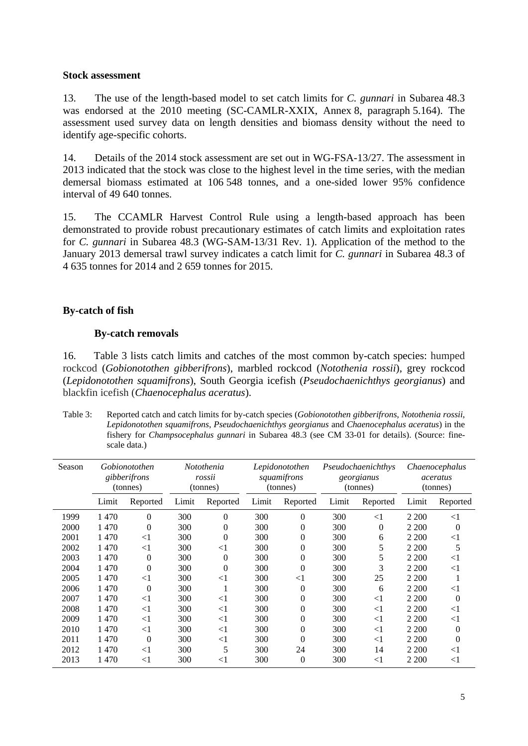### **Stock assessment**

13. The use of the length-based model to set catch limits for *C. gunnari* in Subarea 48.3 was endorsed at the 2010 meeting (SC-CAMLR-XXIX, Annex 8, paragraph 5.164). The assessment used survey data on length densities and biomass density without the need to identify age-specific cohorts.

14. Details of the 2014 stock assessment are set out in WG-FSA-13/27. The assessment in 2013 indicated that the stock was close to the highest level in the time series, with the median demersal biomass estimated at 106 548 tonnes, and a one-sided lower 95% confidence interval of 49 640 tonnes.

15. The CCAMLR Harvest Control Rule using a length-based approach has been demonstrated to provide robust precautionary estimates of catch limits and exploitation rates for *C. gunnari* in Subarea 48.3 (WG-SAM-13/31 Rev. 1). Application of the method to the January 2013 demersal trawl survey indicates a catch limit for *C. gunnari* in Subarea 48.3 of 4 635 tonnes for 2014 and 2 659 tonnes for 2015.

## **By-catch of fish**

## **By-catch removals**

16. Table 3 lists catch limits and catches of the most common by-catch species: humped rockcod (*Gobionotothen gibberifrons*), marbled rockcod (*Notothenia rossii*), grey rockcod (*Lepidonotothen squamifrons*), South Georgia icefish (*Pseudochaenichthys georgianus*) and blackfin icefish (*Chaenocephalus aceratus*).

Table 3: Reported catch and catch limits for by-catch species (*Gobionotothen gibberifrons*, *Notothenia rossii*, *Lepidonotothen squamifrons*, *Pseudochaenichthys georgianus* and *Chaenocephalus aceratus*) in the fishery for *Champsocephalus gunnari* in Subarea 48.3 (see CM 33-01 for details). (Source: finescale data.)

| Season |       | Gobionotothen<br>gibberifrons<br>(tonnes) |       | Notothenia<br>rossii<br>(tonnes) |       | Lepidonotothen<br>squamifrons<br>(tonnes) |       | Pseudochaenichthys<br>georgianus<br>(tonnes) |         | Chaenocephalus<br>aceratus<br>(tonnes) |
|--------|-------|-------------------------------------------|-------|----------------------------------|-------|-------------------------------------------|-------|----------------------------------------------|---------|----------------------------------------|
|        | Limit | Reported                                  | Limit | Reported                         | Limit | Reported                                  | Limit | Reported                                     | Limit   | Reported                               |
| 1999   | 1470  | 0                                         | 300   | 0                                | 300   | $\theta$                                  | 300   | $<$ 1                                        | 2 200   | $<$ 1                                  |
| 2000   | 1470  | $\overline{0}$                            | 300   | 0                                | 300   | $\theta$                                  | 300   | 0                                            | 2 200   | $\overline{0}$                         |
| 2001   | 1470  | $<$ 1                                     | 300   | $\theta$                         | 300   | $\theta$                                  | 300   | 6                                            | 2 200   | $<$ 1                                  |
| 2002   | 1470  | $<$ 1                                     | 300   | $\leq$ 1                         | 300   | $\theta$                                  | 300   | 5                                            | 2 200   | 5                                      |
| 2003   | 1470  | $\overline{0}$                            | 300   | $\mathbf{0}$                     | 300   | $\overline{0}$                            | 300   | 5                                            | 2 200   | $<$ 1                                  |
| 2004   | 1470  | 0                                         | 300   | $\overline{0}$                   | 300   | $\theta$                                  | 300   | 3                                            | 2 200   | $<$ 1                                  |
| 2005   | 1470  | $<$ 1                                     | 300   | $<$ 1                            | 300   | $<$ 1                                     | 300   | 25                                           | 2 200   |                                        |
| 2006   | 1470  | $\theta$                                  | 300   |                                  | 300   | $\theta$                                  | 300   | 6                                            | 2 200   | $<$ 1                                  |
| 2007   | 1470  | $<$ 1                                     | 300   | $<$ 1                            | 300   | $\overline{0}$                            | 300   | $<$ 1                                        | 2 200   | $\theta$                               |
| 2008   | 1470  | $\leq$                                    | 300   | $<$ 1                            | 300   | $\theta$                                  | 300   | $\leq$ 1                                     | 2 2 0 0 | $<$ 1                                  |
| 2009   | 1470  | $<$ 1                                     | 300   | $<$ 1                            | 300   | $\overline{0}$                            | 300   | $<$ 1                                        | 2 2 0 0 | $<$ 1                                  |
| 2010   | 1470  | $<$ 1                                     | 300   | $\leq$ 1                         | 300   | $\theta$                                  | 300   | $<$ 1                                        | 2 200   | 0                                      |
| 2011   | 1470  | $\overline{0}$                            | 300   | $\leq$ 1                         | 300   | $\theta$                                  | 300   | $\leq$ 1                                     | 2 200   | $\theta$                               |
| 2012   | 1470  | $<$ 1                                     | 300   | 5                                | 300   | 24                                        | 300   | 14                                           | 2 200   | $<$ 1                                  |
| 2013   | 1470  | $<$ 1                                     | 300   | $<$ 1                            | 300   | $\theta$                                  | 300   | $<$ 1                                        | 2 200   | $<$ 1                                  |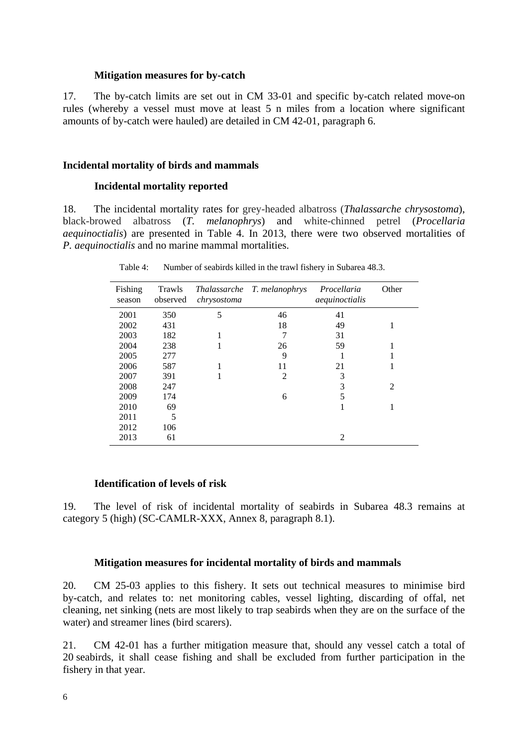### **Mitigation measures for by-catch**

17. The by-catch limits are set out in CM 33-01 and specific by-catch related move-on rules (whereby a vessel must move at least 5 n miles from a location where significant amounts of by-catch were hauled) are detailed in CM 42-01, paragraph 6.

### **Incidental mortality of birds and mammals**

### **Incidental mortality reported**

18. The incidental mortality rates for grey-headed albatross (*Thalassarche chrysostoma*), black-browed albatross (*T. melanophrys*) and white-chinned petrel (*Procellaria aequinoctialis*) are presented in Table 4. In 2013, there were two observed mortalities of *P. aequinoctialis* and no marine mammal mortalities.

| Fishing<br>season | Trawls<br>observed | <i>Thalassarche</i><br>chrysostoma | T. melanophrys | Procellaria<br>aequinoctialis | Other |
|-------------------|--------------------|------------------------------------|----------------|-------------------------------|-------|
| 2001              | 350                | 5                                  | 46             | 41                            |       |
| 2002              | 431                |                                    | 18             | 49                            |       |
| 2003              | 182                |                                    |                | 31                            |       |
| 2004              | 238                | 1                                  | 26             | 59                            |       |
| 2005              | 277                |                                    | 9              |                               |       |
| 2006              | 587                |                                    | 11             | 21                            |       |
| 2007              | 391                |                                    | 2              | 3                             |       |
| 2008              | 247                |                                    |                | 3                             | 2     |
| 2009              | 174                |                                    | 6              | 5                             |       |
| 2010              | 69                 |                                    |                |                               |       |
| 2011              | 5                  |                                    |                |                               |       |
| 2012              | 106                |                                    |                |                               |       |
| 2013              | 61                 |                                    |                | 2                             |       |

Table 4: Number of seabirds killed in the trawl fishery in Subarea 48.3.

### **Identification of levels of risk**

19. The level of risk of incidental mortality of seabirds in Subarea 48.3 remains at category 5 (high) (SC-CAMLR-XXX, Annex 8, paragraph 8.1).

#### **Mitigation measures for incidental mortality of birds and mammals**

20. CM 25-03 applies to this fishery. It sets out technical measures to minimise bird by-catch, and relates to: net monitoring cables, vessel lighting, discarding of offal, net cleaning, net sinking (nets are most likely to trap seabirds when they are on the surface of the water) and streamer lines (bird scarers).

21. CM 42-01 has a further mitigation measure that, should any vessel catch a total of 20 seabirds, it shall cease fishing and shall be excluded from further participation in the fishery in that year.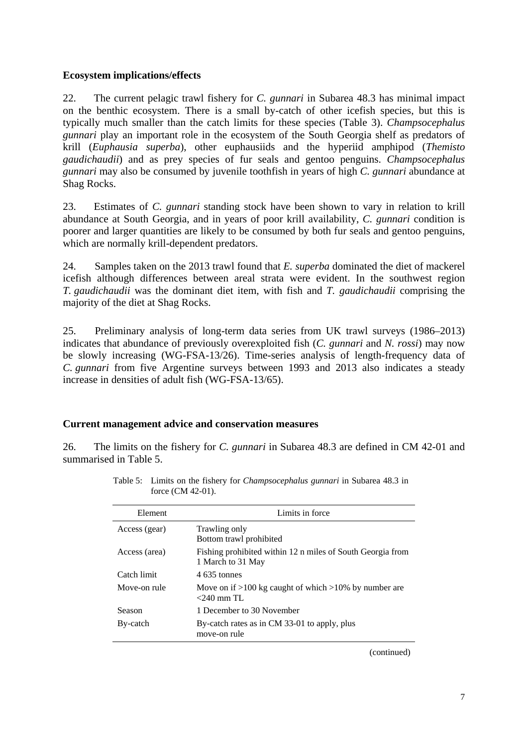## **Ecosystem implications/effects**

22. The current pelagic trawl fishery for *C. gunnari* in Subarea 48.3 has minimal impact on the benthic ecosystem. There is a small by-catch of other icefish species, but this is typically much smaller than the catch limits for these species (Table 3). *Champsocephalus gunnari* play an important role in the ecosystem of the South Georgia shelf as predators of krill (*Euphausia superba*), other euphausiids and the hyperiid amphipod (*Themisto gaudichaudii*) and as prey species of fur seals and gentoo penguins. *Champsocephalus gunnari* may also be consumed by juvenile toothfish in years of high *C. gunnari* abundance at Shag Rocks.

23. Estimates of *C. gunnari* standing stock have been shown to vary in relation to krill abundance at South Georgia, and in years of poor krill availability, *C. gunnari* condition is poorer and larger quantities are likely to be consumed by both fur seals and gentoo penguins, which are normally krill-dependent predators.

24. Samples taken on the 2013 trawl found that *E. superba* dominated the diet of mackerel icefish although differences between areal strata were evident. In the southwest region *T. gaudichaudii* was the dominant diet item, with fish and *T. gaudichaudii* comprising the majority of the diet at Shag Rocks.

25. Preliminary analysis of long-term data series from UK trawl surveys (1986–2013) indicates that abundance of previously overexploited fish (*C. gunnari* and *N. rossi*) may now be slowly increasing (WG-FSA-13/26). Time-series analysis of length-frequency data of *C. gunnari* from five Argentine surveys between 1993 and 2013 also indicates a steady increase in densities of adult fish (WG-FSA-13/65).

# **Current management advice and conservation measures**

26. The limits on the fishery for *C. gunnari* in Subarea 48.3 are defined in CM 42-01 and summarised in Table 5.

| Element       | Limits in force                                                                 |
|---------------|---------------------------------------------------------------------------------|
| Access (gear) | Trawling only<br>Bottom trawl prohibited                                        |
| Access (area) | Fishing prohibited within 12 n miles of South Georgia from<br>1 March to 31 May |
| Catch limit   | 4.635 tonnes                                                                    |
| Move-on rule  | Move on if $>100$ kg caught of which $>10\%$ by number are<br>$<$ 240 mm TL     |
| Season        | 1 December to 30 November                                                       |
| By-catch      | By-catch rates as in CM 33-01 to apply, plus<br>move-on rule                    |
|               |                                                                                 |

Table 5: Limits on the fishery for *Champsocephalus gunnari* in Subarea 48.3 in force (CM 42-01).

(continued)